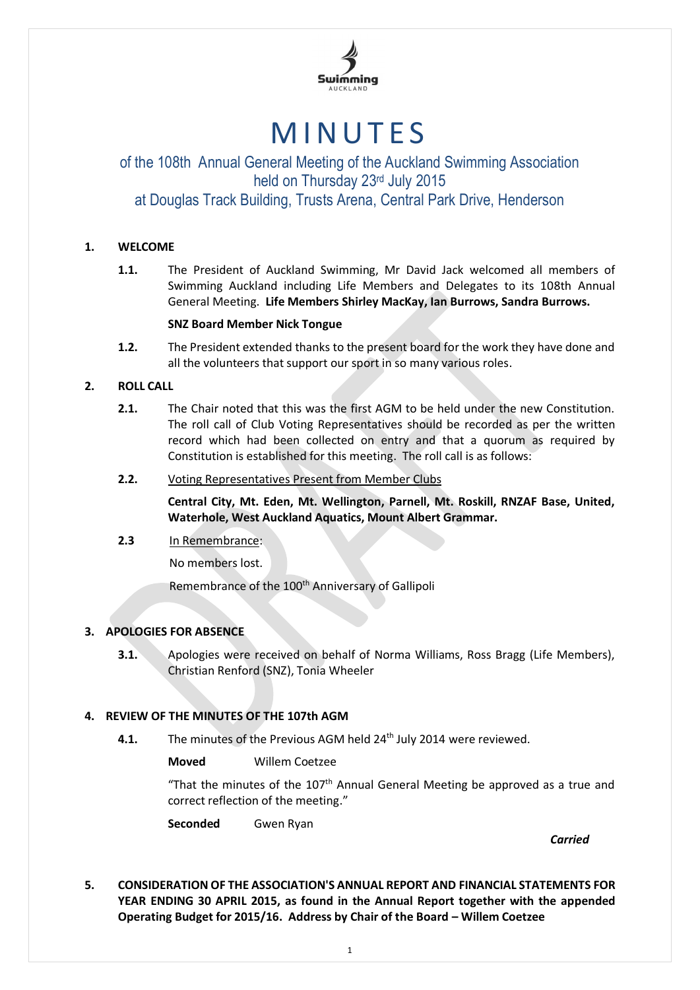

# **MINUTES**

# of the 108th Annual General Meeting of the Auckland Swimming Association held on Thursday 23<sup>rd</sup> July 2015 at Douglas Track Building, Trusts Arena, Central Park Drive, Henderson

### **1. WELCOME**

**1.1.** The President of Auckland Swimming, Mr David Jack welcomed all members of Swimming Auckland including Life Members and Delegates to its 108th Annual General Meeting. **Life Members Shirley MacKay, Ian Burrows, Sandra Burrows.** 

#### **SNZ Board Member Nick Tongue**

**1.2.** The President extended thanks to the present board for the work they have done and all the volunteers that support our sport in so many various roles.

#### **2. ROLL CALL**

**2.1.** The Chair noted that this was the first AGM to be held under the new Constitution. The roll call of Club Voting Representatives should be recorded as per the written record which had been collected on entry and that a quorum as required by Constitution is established for this meeting. The roll call is as follows:

#### **2.2.** Voting Representatives Present from Member Clubs

**Central City, Mt. Eden, Mt. Wellington, Parnell, Mt. Roskill, RNZAF Base, United, Waterhole, West Auckland Aquatics, Mount Albert Grammar.**

#### **2.3** In Remembrance:

No members lost.

Remembrance of the 100<sup>th</sup> Anniversary of Gallipoli

#### **3. APOLOGIES FOR ABSENCE**

**3.1.** Apologies were received on behalf of Norma Williams, Ross Bragg (Life Members), Christian Renford (SNZ), Tonia Wheeler

#### **4. REVIEW OF THE MINUTES OF THE 107th AGM**

**4.1.** The minutes of the Previous AGM held 24<sup>th</sup> July 2014 were reviewed.

**Moved** Willem Coetzee

"That the minutes of the 107<sup>th</sup> Annual General Meeting be approved as a true and correct reflection of the meeting."

**Seconded** Gwen Ryan

*Carried*

**5. CONSIDERATION OF THE ASSOCIATION'S ANNUAL REPORT AND FINANCIAL STATEMENTS FOR YEAR ENDING 30 APRIL 2015, as found in the Annual Report together with the appended Operating Budget for 2015/16. Address by Chair of the Board – Willem Coetzee**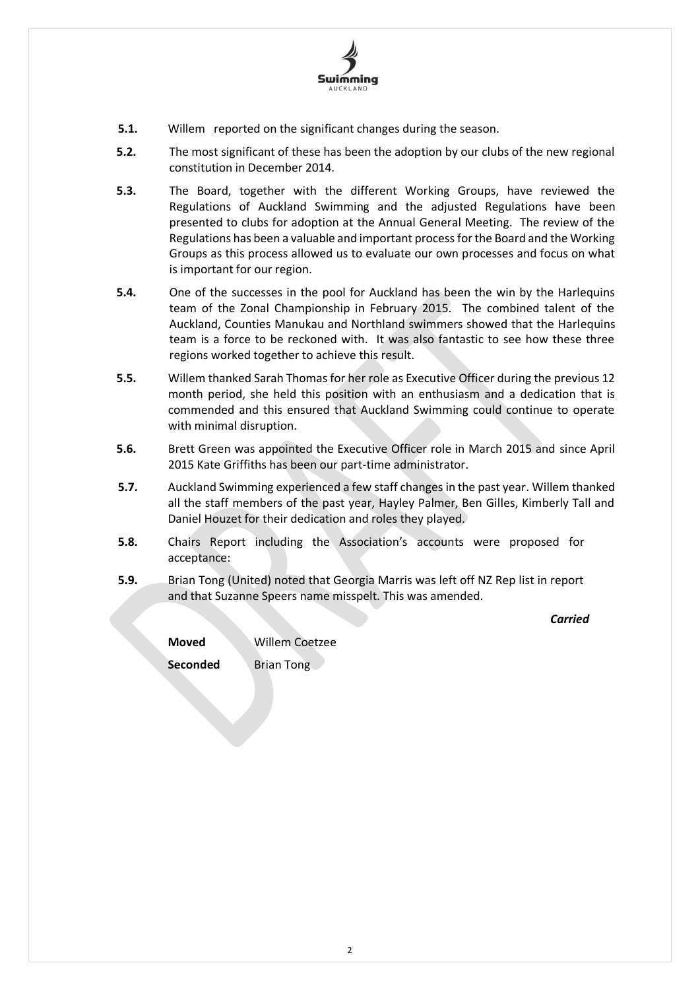

- **5.1.** Willem reported on the significant changes during the season.
- **5.2.** The most significant of these has been the adoption by our clubs of the new regional constitution in December 2014.
- **5.3.** The Board, together with the different Working Groups, have reviewed the Regulations of Auckland Swimming and the adjusted Regulations have been presented to clubs for adoption at the Annual General Meeting. The review of the Regulations has been a valuable and important process for the Board and the Working Groups as this process allowed us to evaluate our own processes and focus on what is important for our region.
- **5.4.** One of the successes in the pool for Auckland has been the win by the Harlequins team of the Zonal Championship in February 2015. The combined talent of the Auckland, Counties Manukau and Northland swimmers showed that the Harlequins team is a force to be reckoned with. It was also fantastic to see how these three regions worked together to achieve this result.
- **5.5.** Willem thanked Sarah Thomas for her role as Executive Officer during the previous 12 month period, she held this position with an enthusiasm and a dedication that is commended and this ensured that Auckland Swimming could continue to operate with minimal disruption.
- **5.6.** Brett Green was appointed the Executive Officer role in March 2015 and since April 2015 Kate Griffiths has been our part-time administrator.
- **5.7.** Auckland Swimming experienced a few staff changes in the past year. Willem thanked all the staff members of the past year, Hayley Palmer, Ben Gilles, Kimberly Tall and Daniel Houzet for their dedication and roles they played.
- **5.8.** Chairs Report including the Association's accounts were proposed for acceptance:
- **5.9.** Brian Tong (United) noted that Georgia Marris was left off NZ Rep list in report and that Suzanne Speers name misspelt. This was amended.

*Carried*

| Moved    | Willem Coetzee    |
|----------|-------------------|
| Seconded | <b>Brian Tong</b> |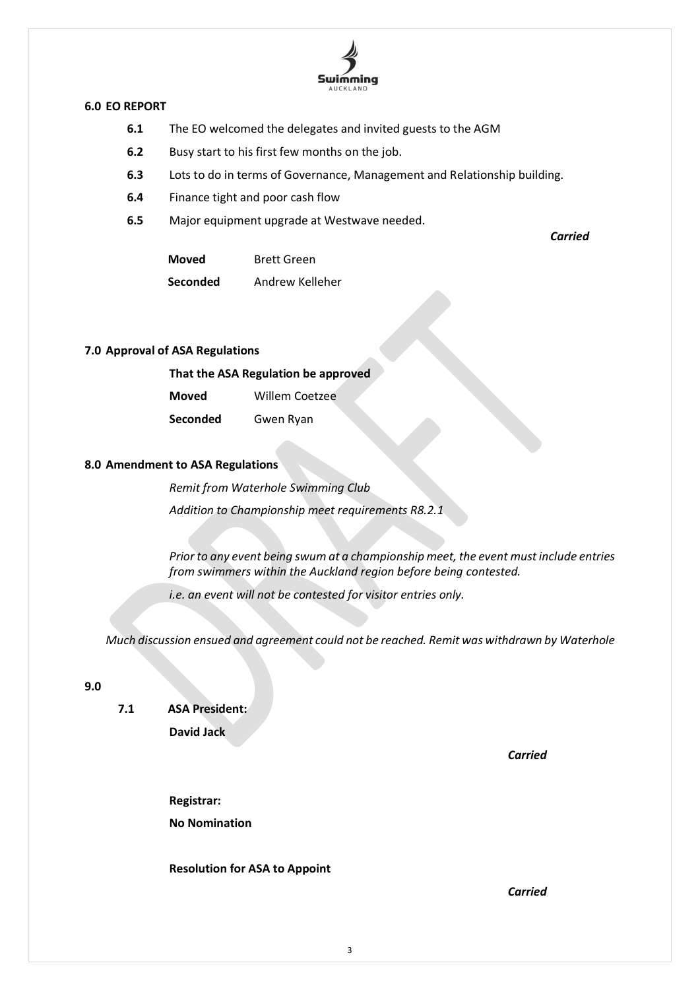

#### **6.0 EO REPORT**

- **6.1** The EO welcomed the delegates and invited guests to the AGM
- **6.2** Busy start to his first few months on the job.
- **6.3** Lots to do in terms of Governance, Management and Relationship building.
- **6.4** Finance tight and poor cash flow
- **6.5** Major equipment upgrade at Westwave needed.

**Moved** Brett Green

**Seconded** Andrew Kelleher

#### **7.0 Approval of ASA Regulations**

| That the ASA Regulation be approved |                       |  |
|-------------------------------------|-----------------------|--|
| Moved                               | <b>Willem Coetzee</b> |  |

**Seconded** Gwen Ryan

# **8.0 Amendment to ASA Regulations**

*Remit from Waterhole Swimming Club Addition to Championship meet requirements R8.2.1*

*Prior to any event being swum at a championship meet, the event must include entries from swimmers within the Auckland region before being contested.*

*i.e. an event will not be contested for visitor entries only.*

*Much discussion ensued and agreement could not be reached. Remit was withdrawn by Waterhole*

#### **9.0**

**7.1 ASA President: David Jack**

*Carried*

*Carried*

**Registrar: No Nomination**

#### **Resolution for ASA to Appoint**

*Carried*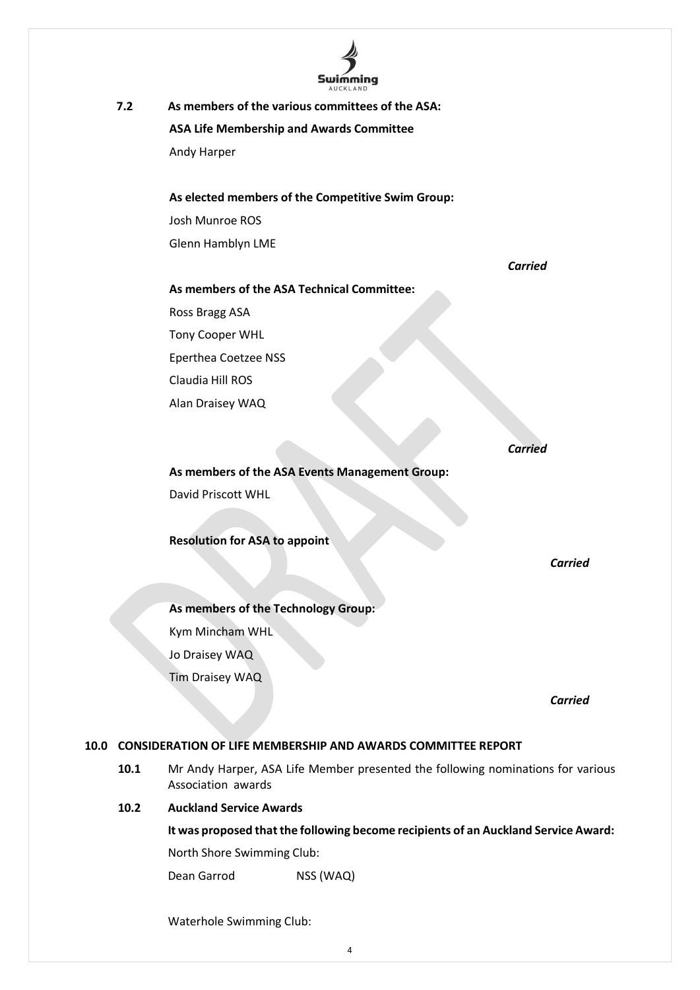

**7.2 As members of the various committees of the ASA: ASA Life Membership and Awards Committee** Andy Harper

> **As elected members of the Competitive Swim Group:** Josh Munroe ROS Glenn Hamblyn LME

**As members of the ASA Technical Committee:**

Ross Bragg ASA Tony Cooper WHL

Eperthea Coetzee NSS

Claudia Hill ROS

Alan Draisey WAQ

*Carried*

*Carried*

**As members of the ASA Events Management Group:** David Priscott WHL

**Resolution for ASA to appoint**

*Carried*

**As members of the Technology Group:** Kym Mincham WHL Jo Draisey WAQ Tim Draisey WAQ

*Carried* 

# **10.0 CONSIDERATION OF LIFE MEMBERSHIP AND AWARDS COMMITTEE REPORT**

**10.1** Mr Andy Harper, ASA Life Member presented the following nominations for various Association awards

# **10.2 Auckland Service Awards**

**It was proposed that the following become recipients of an Auckland Service Award:** North Shore Swimming Club:

Dean Garrod NSS (WAQ)

Waterhole Swimming Club: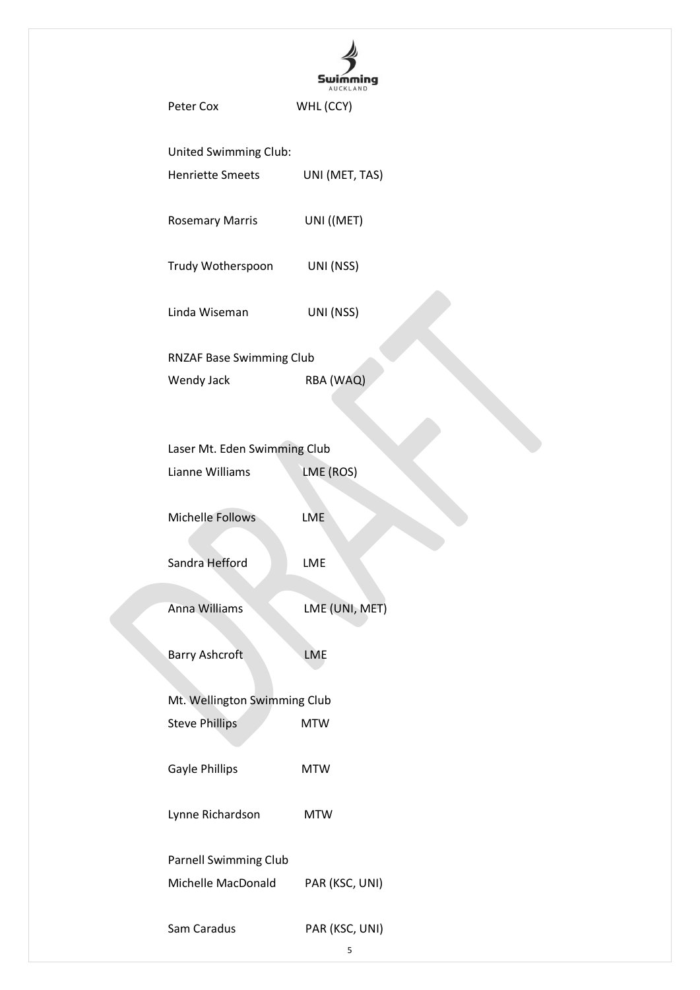|                              | Peter Cox                       | WHL (CCY)      |  |
|------------------------------|---------------------------------|----------------|--|
|                              | United Swimming Club:           |                |  |
|                              | <b>Henriette Smeets</b>         | UNI (MET, TAS) |  |
|                              | <b>Rosemary Marris</b>          | UNI ((MET)     |  |
|                              | Trudy Wotherspoon UNI (NSS)     |                |  |
|                              | Linda Wiseman                   | UNI (NSS)      |  |
|                              | <b>RNZAF Base Swimming Club</b> |                |  |
|                              | Wendy Jack                      | RBA (WAQ)      |  |
|                              |                                 |                |  |
|                              | Laser Mt. Eden Swimming Club    |                |  |
|                              | Lianne Williams                 | LME (ROS)      |  |
|                              | <b>Michelle Follows</b>         | <b>LME</b>     |  |
|                              | Sandra Hefford                  | LME            |  |
|                              | Anna Williams                   | LME (UNI, MET) |  |
|                              | Barry Ashcroft                  | <b>LME</b>     |  |
| Mt. Wellington Swimming Club |                                 |                |  |
|                              | <b>Steve Phillips</b>           | <b>MTW</b>     |  |
|                              | Gayle Phillips                  | <b>MTW</b>     |  |
|                              | Lynne Richardson                | <b>MTW</b>     |  |
|                              | <b>Parnell Swimming Club</b>    |                |  |
|                              | Michelle MacDonald              | PAR (KSC, UNI) |  |
|                              | Sam Caradus                     | PAR (KSC, UNI) |  |

5